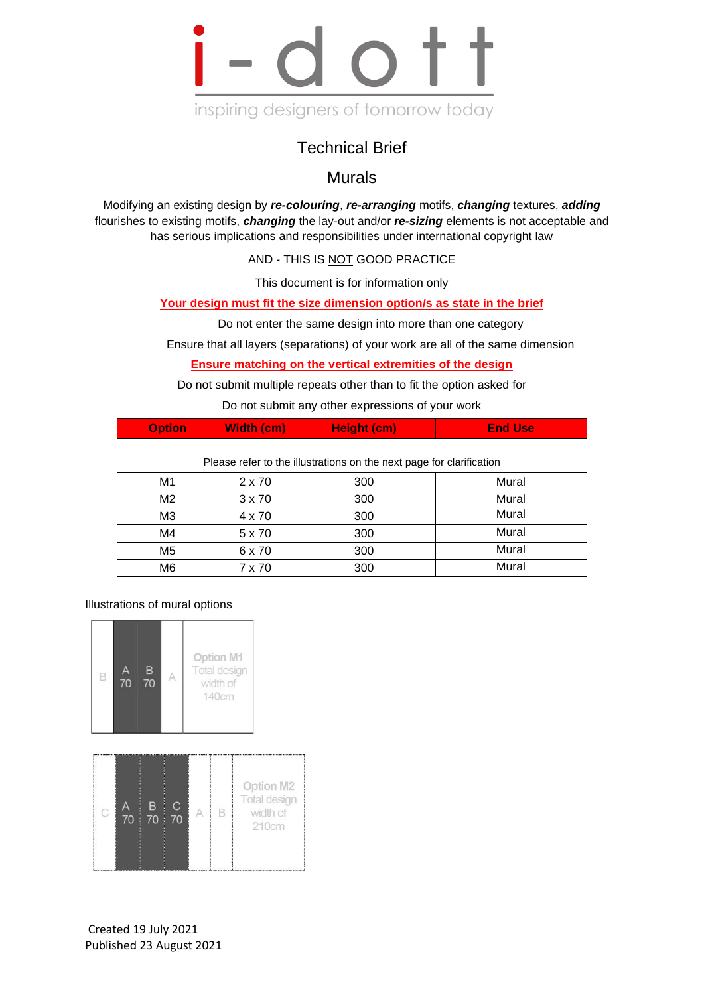

## Technical Brief

Murals

Modifying an existing design by *re-colouring*, *re-arranging* motifs, *changing* textures, *adding* flourishes to existing motifs, *changing* the lay-out and/or *re-sizing* elements is not acceptable and has serious implications and responsibilities under international copyright law

AND - THIS IS NOT GOOD PRACTICE

This document is for information only

**Your design must fit the size dimension option/s as state in the brief**

Do not enter the same design into more than one category

Ensure that all layers (separations) of your work are all of the same dimension

**Ensure matching on the vertical extremities of the design**

Do not submit multiple repeats other than to fit the option asked for

Do not submit any other expressions of your work

| <b>Option</b>                                                        | <b>Width (cm)</b> | <b>Height (cm)</b> | <b>End Use</b> |
|----------------------------------------------------------------------|-------------------|--------------------|----------------|
| Please refer to the illustrations on the next page for clarification |                   |                    |                |
| M1                                                                   | 2 x 70            | 300                | Mural          |
| M <sub>2</sub>                                                       | $3 \times 70$     | 300                | Mural          |
| M <sub>3</sub>                                                       | 4 x 70            | 300                | Mural          |
| M4                                                                   | 5 x 70            | 300                | Mural          |
| M <sub>5</sub>                                                       | 6 x 70            | 300                | Mural          |
| M <sub>6</sub>                                                       | 7 x 70            | 300                | Mural          |

Illustrations of mural options